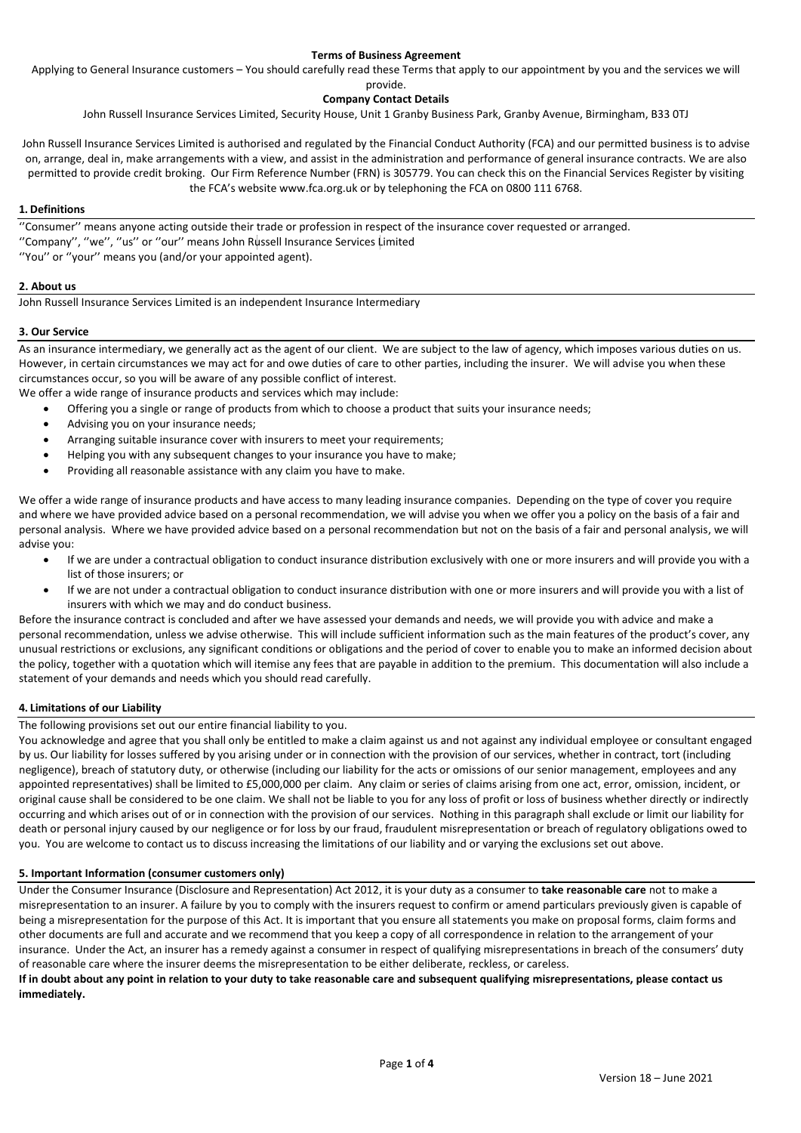## **Terms of Business Agreement**

Applying to General Insurance customers – You should carefully read these Terms that apply to our appointment by you and the services we will

```
provide.
```
# **Company Contact Details**

John Russell Insurance Services Limited, Security House, Unit 1 Granby Business Park, Granby Avenue, Birmingham, B33 0TJ

John Russell Insurance Services Limited is authorised and regulated by the Financial Conduct Authority (FCA) and our permitted business is to advise on, arrange, deal in, make arrangements with a view, and assist in the administration and performance of general insurance contracts. We are also permitted to provide credit broking. Our Firm Reference Number (FRN) is 305779. You can check this on the Financial Services Register by visiting the FCA's website www.fca.org.uk or by telephoning the FCA on 0800 111 6768.

## **1. Definitions**

''Consumer'' means anyone acting outside their trade or profession in respect of the insurance cover requested or arranged.

- ''Company'', ''we'', ''us'' or ''our'' means John Russell Insurance Services Limited
- ''You'' or ''your'' means you (and/or your appointed agent).

## **2. About us**

John Russell Insurance Services Limited is an independent Insurance Intermediary

## **3. Our Service**

As an insurance intermediary, we generally act as the agent of our client. We are subject to the law of agency, which imposes various duties on us. However, in certain circumstances we may act for and owe duties of care to other parties, including the insurer. We will advise you when these circumstances occur, so you will be aware of any possible conflict of interest.

We offer a wide range of insurance products and services which may include:

- Offering you a single or range of products from which to choose a product that suits your insurance needs;
- Advising you on your insurance needs;
- Arranging suitable insurance cover with insurers to meet your requirements;
- Helping you with any subsequent changes to your insurance you have to make;
- Providing all reasonable assistance with any claim you have to make.

We offer a wide range of insurance products and have access to many leading insurance companies. Depending on the type of cover you require and where we have provided advice based on a personal recommendation, we will advise you when we offer you a policy on the basis of a fair and personal analysis. Where we have provided advice based on a personal recommendation but not on the basis of a fair and personal analysis, we will advise you:

- If we are under a contractual obligation to conduct insurance distribution exclusively with one or more insurers and will provide you with a list of those insurers; or
- If we are not under a contractual obligation to conduct insurance distribution with one or more insurers and will provide you with a list of insurers with which we may and do conduct business.

Before the insurance contract is concluded and after we have assessed your demands and needs, we will provide you with advice and make a personal recommendation, unless we advise otherwise. This will include sufficient information such as the main features of the product's cover, any unusual restrictions or exclusions, any significant conditions or obligations and the period of cover to enable you to make an informed decision about the policy, together with a quotation which will itemise any fees that are payable in addition to the premium. This documentation will also include a statement of your demands and needs which you should read carefully.

#### **4. Limitations of our Liability**

The following provisions set out our entire financial liability to you.

You acknowledge and agree that you shall only be entitled to make a claim against us and not against any individual employee or consultant engaged by us. Our liability for losses suffered by you arising under or in connection with the provision of our services, whether in contract, tort (including negligence), breach of statutory duty, or otherwise (including our liability for the acts or omissions of our senior management, employees and any appointed representatives) shall be limited to £5,000,000 per claim. Any claim or series of claims arising from one act, error, omission, incident, or original cause shall be considered to be one claim. We shall not be liable to you for any loss of profit or loss of business whether directly or indirectly occurring and which arises out of or in connection with the provision of our services. Nothing in this paragraph shall exclude or limit our liability for death or personal injury caused by our negligence or for loss by our fraud, fraudulent misrepresentation or breach of regulatory obligations owed to you. You are welcome to contact us to discuss increasing the limitations of our liability and or varying the exclusions set out above.

#### **5. Important Information (consumer customers only)**

Under the Consumer Insurance (Disclosure and Representation) Act 2012, it is your duty as a consumer to **take reasonable care** not to make a misrepresentation to an insurer. A failure by you to comply with the insurers request to confirm or amend particulars previously given is capable of being a misrepresentation for the purpose of this Act. It is important that you ensure all statements you make on proposal forms, claim forms and other documents are full and accurate and we recommend that you keep a copy of all correspondence in relation to the arrangement of your insurance. Under the Act, an insurer has a remedy against a consumer in respect of qualifying misrepresentations in breach of the consumers' duty of reasonable care where the insurer deems the misrepresentation to be either deliberate, reckless, or careless.

**If in doubt about any point in relation to your duty to take reasonable care and subsequent qualifying misrepresentations, please contact us immediately.**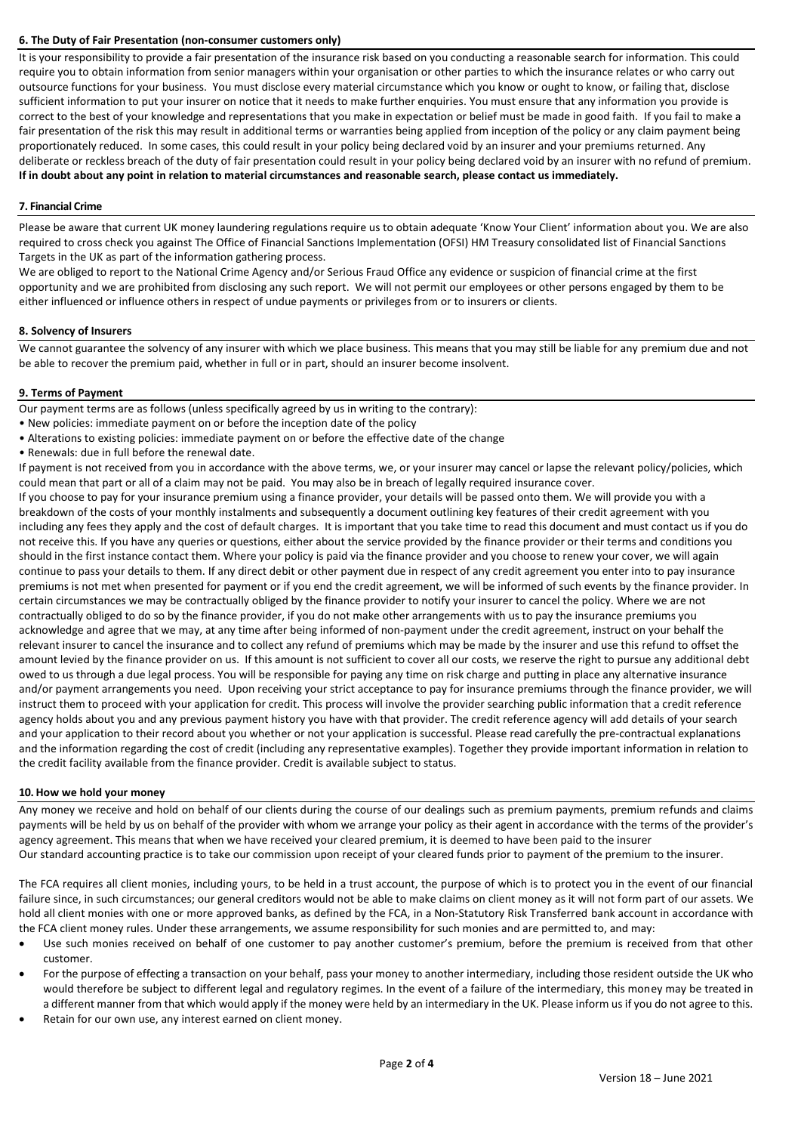### **6. The Duty of Fair Presentation (non-consumer customers only)**

It is your responsibility to provide a fair presentation of the insurance risk based on you conducting a reasonable search for information. This could require you to obtain information from senior managers within your organisation or other parties to which the insurance relates or who carry out outsource functions for your business. You must disclose every material circumstance which you know or ought to know, or failing that, disclose sufficient information to put your insurer on notice that it needs to make further enquiries. You must ensure that any information you provide is correct to the best of your knowledge and representations that you make in expectation or belief must be made in good faith. If you fail to make a fair presentation of the risk this may result in additional terms or warranties being applied from inception of the policy or any claim payment being proportionately reduced. In some cases, this could result in your policy being declared void by an insurer and your premiums returned. Any deliberate or reckless breach of the duty of fair presentation could result in your policy being declared void by an insurer with no refund of premium. **If in doubt about any point in relation to material circumstances and reasonable search, please contact us immediately.**

## **7. Financial Crime**

Please be aware that current UK money laundering regulations require us to obtain adequate 'Know Your Client' information about you. We are also required to cross check you against The Office of Financial Sanctions Implementation (OFSI) HM Treasury consolidated list of Financial Sanctions Targets in the UK as part of the information gathering process.

We are obliged to report to the National Crime Agency and/or Serious Fraud Office any evidence or suspicion of financial crime at the first opportunity and we are prohibited from disclosing any such report. We will not permit our employees or other persons engaged by them to be either influenced or influence others in respect of undue payments or privileges from or to insurers or clients.

#### **8. Solvency of Insurers**

We cannot guarantee the solvency of any insurer with which we place business. This means that you may still be liable for any premium due and not be able to recover the premium paid, whether in full or in part, should an insurer become insolvent.

## **9. Terms of Payment**

Our payment terms are as follows (unless specifically agreed by us in writing to the contrary):

- New policies: immediate payment on or before the inception date of the policy
- Alterations to existing policies: immediate payment on or before the effective date of the change
- Renewals: due in full before the renewal date.

If payment is not received from you in accordance with the above terms, we, or your insurer may cancel or lapse the relevant policy/policies, which could mean that part or all of a claim may not be paid. You may also be in breach of legally required insurance cover.

If you choose to pay for your insurance premium using a finance provider, your details will be passed onto them. We will provide you with a breakdown of the costs of your monthly instalments and subsequently a document outlining key features of their credit agreement with you including any fees they apply and the cost of default charges. It is important that you take time to read this document and must contact us if you do not receive this. If you have any queries or questions, either about the service provided by the finance provider or their terms and conditions you should in the first instance contact them. Where your policy is paid via the finance provider and you choose to renew your cover, we will again continue to pass your details to them. If any direct debit or other payment due in respect of any credit agreement you enter into to pay insurance premiums is not met when presented for payment or if you end the credit agreement, we will be informed of such events by the finance provider. In certain circumstances we may be contractually obliged by the finance provider to notify your insurer to cancel the policy. Where we are not contractually obliged to do so by the finance provider, if you do not make other arrangements with us to pay the insurance premiums you acknowledge and agree that we may, at any time after being informed of non-payment under the credit agreement, instruct on your behalf the relevant insurer to cancel the insurance and to collect any refund of premiums which may be made by the insurer and use this refund to offset the amount levied by the finance provider on us. If this amount is not sufficient to cover all our costs, we reserve the right to pursue any additional debt owed to us through a due legal process. You will be responsible for paying any time on risk charge and putting in place any alternative insurance and/or payment arrangements you need. Upon receiving your strict acceptance to pay for insurance premiums through the finance provider, we will instruct them to proceed with your application for credit. This process will involve the provider searching public information that a credit reference agency holds about you and any previous payment history you have with that provider. The credit reference agency will add details of your search and your application to their record about you whether or not your application is successful. Please read carefully the pre-contractual explanations and the information regarding the cost of credit (including any representative examples). Together they provide important information in relation to the credit facility available from the finance provider. Credit is available subject to status.

#### **10. How we hold your money**

Any money we receive and hold on behalf of our clients during the course of our dealings such as premium payments, premium refunds and claims payments will be held by us on behalf of the provider with whom we arrange your policy as their agent in accordance with the terms of the provider's agency agreement. This means that when we have received your cleared premium, it is deemed to have been paid to the insurer Our standard accounting practice is to take our commission upon receipt of your cleared funds prior to payment of the premium to the insurer.

The FCA requires all client monies, including yours, to be held in a trust account, the purpose of which is to protect you in the event of our financial failure since, in such circumstances; our general creditors would not be able to make claims on client money as it will not form part of our assets. We hold all client monies with one or more approved banks, as defined by the FCA, in a Non-Statutory Risk Transferred bank account in accordance with the FCA client money rules. Under these arrangements, we assume responsibility for such monies and are permitted to, and may:

- Use such monies received on behalf of one customer to pay another customer's premium, before the premium is received from that other customer.
- For the purpose of effecting a transaction on your behalf, pass your money to another intermediary, including those resident outside the UK who would therefore be subject to different legal and regulatory regimes. In the event of a failure of the intermediary, this money may be treated in a different manner from that which would apply if the money were held by an intermediary in the UK. Please inform us if you do not agree to this.
- Retain for our own use, any interest earned on client money.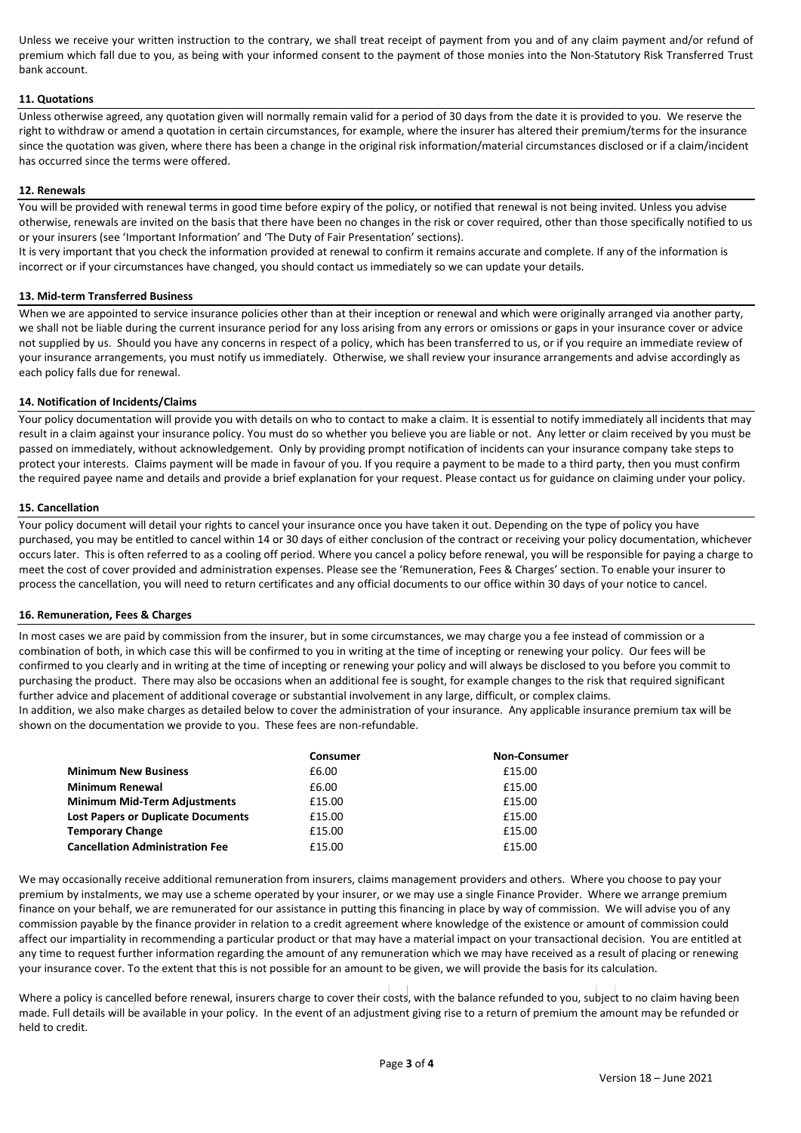Unless we receive your written instruction to the contrary, we shall treat receipt of payment from you and of any claim payment and/or refund of premium which fall due to you, as being with your informed consent to the payment of those monies into the Non-Statutory Risk Transferred Trust bank account.

## **11. Quotations**

Unless otherwise agreed, any quotation given will normally remain valid for a period of 30 days from the date it is provided to you. We reserve the right to withdraw or amend a quotation in certain circumstances, for example, where the insurer has altered their premium/terms for the insurance since the quotation was given, where there has been a change in the original risk information/material circumstances disclosed or if a claim/incident has occurred since the terms were offered.

#### **12. Renewals**

You will be provided with renewal terms in good time before expiry of the policy, or notified that renewal is not being invited. Unless you advise otherwise, renewals are invited on the basis that there have been no changes in the risk or cover required, other than those specifically notified to us or your insurers (see 'Important Information' and 'The Duty of Fair Presentation' sections).

It is very important that you check the information provided at renewal to confirm it remains accurate and complete. If any of the information is incorrect or if your circumstances have changed, you should contact us immediately so we can update your details.

#### **13. Mid-term Transferred Business**

When we are appointed to service insurance policies other than at their inception or renewal and which were originally arranged via another party, we shall not be liable during the current insurance period for any loss arising from any errors or omissions or gaps in your insurance cover or advice not supplied by us. Should you have any concerns in respect of a policy, which has been transferred to us, or if you require an immediate review of your insurance arrangements, you must notify us immediately. Otherwise, we shall review your insurance arrangements and advise accordingly as each policy falls due for renewal.

#### **14. Notification of Incidents/Claims**

Your policy documentation will provide you with details on who to contact to make a claim. It is essential to notify immediately all incidents that may result in a claim against your insurance policy. You must do so whether you believe you are liable or not. Any letter or claim received by you must be passed on immediately, without acknowledgement. Only by providing prompt notification of incidents can your insurance company take steps to protect your interests. Claims payment will be made in favour of you. If you require a payment to be made to a third party, then you must confirm the required payee name and details and provide a brief explanation for your request. Please contact us for guidance on claiming under your policy.

#### **15. Cancellation**

Your policy document will detail your rights to cancel your insurance once you have taken it out. Depending on the type of policy you have purchased, you may be entitled to cancel within 14 or 30 days of either conclusion of the contract or receiving your policy documentation, whichever occurs later. This is often referred to as a cooling off period. Where you cancel a policy before renewal, you will be responsible for paying a charge to meet the cost of cover provided and administration expenses. Please see the 'Remuneration, Fees & Charges' section. To enable your insurer to process the cancellation, you will need to return certificates and any official documents to our office within 30 days of your notice to cancel.

#### **16. Remuneration, Fees & Charges**

In most cases we are paid by commission from the insurer, but in some circumstances, we may charge you a fee instead of commission or a combination of both, in which case this will be confirmed to you in writing at the time of incepting or renewing your policy. Our fees will be confirmed to you clearly and in writing at the time of incepting or renewing your policy and will always be disclosed to you before you commit to purchasing the product. There may also be occasions when an additional fee is sought, for example changes to the risk that required significant further advice and placement of additional coverage or substantial involvement in any large, difficult, or complex claims.

In addition, we also make charges as detailed below to cover the administration of your insurance. Any applicable insurance premium tax will be shown on the documentation we provide to you. These fees are non-refundable.

|                                           | <b>Consumer</b> | <b>Non-Consumer</b> |
|-------------------------------------------|-----------------|---------------------|
| <b>Minimum New Business</b>               | £6.00           | £15.00              |
| <b>Minimum Renewal</b>                    | £6.00           | £15.00              |
| <b>Minimum Mid-Term Adjustments</b>       | £15.00          | £15.00              |
| <b>Lost Papers or Duplicate Documents</b> | £15.00          | £15.00              |
| <b>Temporary Change</b>                   | £15.00          | £15.00              |
| <b>Cancellation Administration Fee</b>    | £15.00          | £15.00              |

We may occasionally receive additional remuneration from insurers, claims management providers and others. Where you choose to pay your premium by instalments, we may use a scheme operated by your insurer, or we may use a single Finance Provider. Where we arrange premium finance on your behalf, we are remunerated for our assistance in putting this financing in place by way of commission. We will advise you of any commission payable by the finance provider in relation to a credit agreement where knowledge of the existence or amount of commission could affect our impartiality in recommending a particular product or that may have a material impact on your transactional decision. You are entitled at any time to request further information regarding the amount of any remuneration which we may have received as a result of placing or renewing your insurance cover. To the extent that this is not possible for an amount to be given, we will provide the basis for its calculation.

Where a policy is cancelled before renewal, insurers charge to cover their costs, with the balance refunded to you, subject to no claim having been made. Full details will be available in your policy. In the event of an adjustment giving rise to a return of premium the amount may be refunded or held to credit.